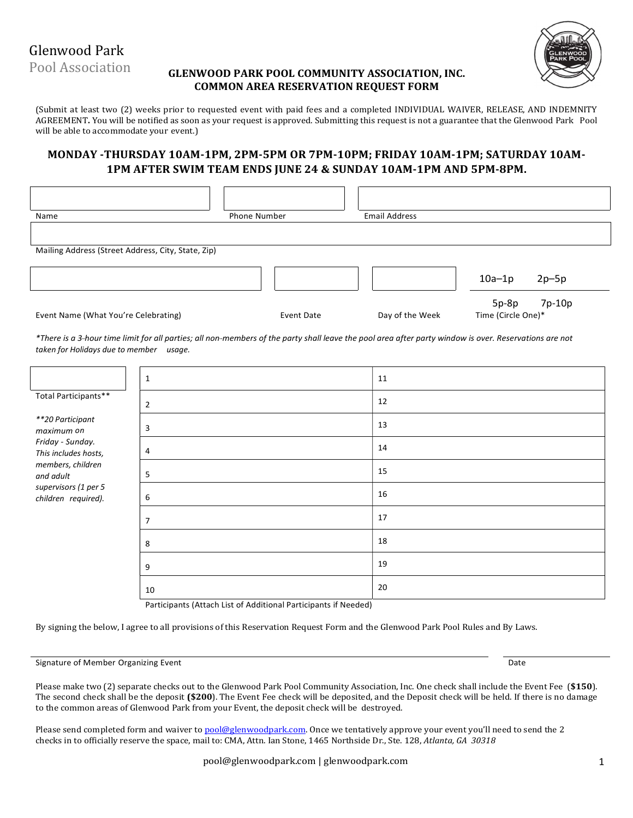Glenwood Park

Pool Association

## GLENWOOD PARK POOL COMMUNITY ASSOCIATION, INC. COMMON AREA RESERVATION REQUEST FORM



(Submit at least two (2) weeks prior to requested event with paid fees and a completed INDIVIDUAL WAIVER, RELEASE, AND INDEMNITY AGREEMENT. You will be notified as soon as your request is approved. Submitting this request is not a guarantee that the Glenwood Park Pool will be able to accommodate your event.)

# MONDAY -THURSDAY 10AM-1PM, 2PM-5PM OR 7PM-10PM; FRIDAY 10AM-1PM; SATURDAY 10AM-1PM AFTER SWIM TEAM ENDS JUNE 24 & SUNDAY 10AM-1PM AND 5PM-8PM.

| Name                                               |   | Phone Number                                                                                                                                           | <b>Email Address</b> |                                         |
|----------------------------------------------------|---|--------------------------------------------------------------------------------------------------------------------------------------------------------|----------------------|-----------------------------------------|
| Mailing Address (Street Address, City, State, Zip) |   |                                                                                                                                                        |                      |                                         |
|                                                    |   |                                                                                                                                                        |                      | $10a-1p$<br>$2p-5p$                     |
| Event Name (What You're Celebrating)               |   | Event Date                                                                                                                                             | Day of the Week      | 7p-10p<br>$5p-8p$<br>Time (Circle One)* |
| taken for Holidays due to member usage.            |   | *There is a 3-hour time limit for all parties; all non-members of the party shall leave the pool area after party window is over. Reservations are not |                      |                                         |
|                                                    |   |                                                                                                                                                        | 11                   |                                         |
| Total Participants**                               | 2 |                                                                                                                                                        | 12                   |                                         |
| **20 Participant                                   |   |                                                                                                                                                        |                      |                                         |

| **20 Participant<br>maximum on              | 3  | 13 |
|---------------------------------------------|----|----|
| Friday - Sunday.<br>This includes hosts,    | 4  | 14 |
| members, children<br>and adult              | 5  | 15 |
| supervisors (1 per 5<br>children required). | 6  | 16 |
|                                             | 7  | 17 |
|                                             | 8  | 18 |
|                                             | 9  | 19 |
|                                             | 10 | 20 |

Participants (Attach List of Additional Participants if Needed)

By signing the below, I agree to all provisions of this Reservation Request Form and the Glenwood Park Pool Rules and By Laws.

#### Signature of Member Organizing Event Date

Please make two (2) separate checks out to the Glenwood Park Pool Community Association, Inc. One check shall include the Event Fee (\$150). The second check shall be the deposit (\$200). The Event Fee check will be deposited, and the Deposit check will be held. If there is no damage to the common areas of Glenwood Park from your Event, the deposit check will be destroyed.

Please send completed form and waiver to pool@glenwoodpark.com. Once we tentatively approve your event you'll need to send the 2 checks in to officially reserve the space, mail to: CMA, Attn. Ian Stone, 1465 Northside Dr., Ste. 128, Atlanta, GA 30318

pool@glenwoodpark.com | glenwoodpark.com 1